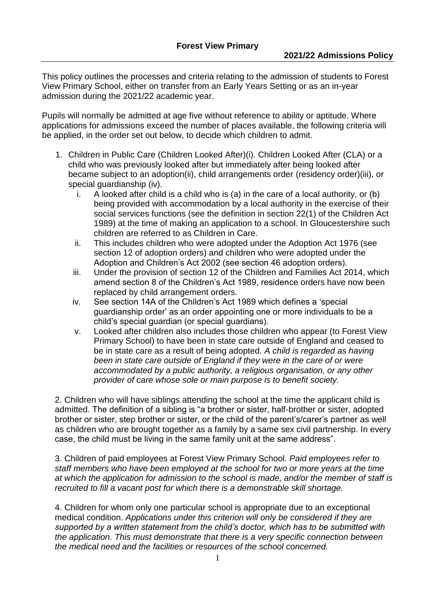This policy outlines the processes and criteria relating to the admission of students to Forest View Primary School, either on transfer from an Early Years Setting or as an in-year admission during the 2021/22 academic year.

Pupils will normally be admitted at age five without reference to ability or aptitude. Where applications for admissions exceed the number of places available, the following criteria will be applied, in the order set out below, to decide which children to admit.

- 1. Children in Public Care (Children Looked After)(i). Children Looked After (CLA) or a child who was previously looked after but immediately after being looked after became subject to an adoption(ii), child arrangements order (residency order)(iii), or special quardianship (iv).
	- i. A looked after child is a child who is (a) in the care of a local authority, or (b) being provided with accommodation by a local authority in the exercise of their social services functions (see the definition in section 22(1) of the Children Act 1989) at the time of making an application to a school. In Gloucestershire such children are referred to as Children in Care.
	- ii. This includes children who were adopted under the Adoption Act 1976 (see section 12 of adoption orders) and children who were adopted under the Adoption and Children's Act 2002 (see section 46 adoption orders).
	- iii. Under the provision of section 12 of the Children and Families Act 2014, which amend section 8 of the Children's Act 1989, residence orders have now been replaced by child arrangement orders.
	- iv. See section 14A of the Children's Act 1989 which defines a 'special guardianship order' as an order appointing one or more individuals to be a child's special guardian (or special guardians).
	- v. Looked after children also includes those children who appear (to Forest View Primary School) to have been in state care outside of England and ceased to be in state care as a result of being adopted. *A child is regarded as having*  been in state care outside of England if they were in the care of or were *accommodated by a public authority, a religious organisation, or any other provider of care whose sole or main purpose is to benefit society.*

2. Children who will have siblings attending the school at the time the applicant child is admitted. The definition of a sibling is "a brother or sister, half-brother or sister, adopted brother or sister, step brother or sister, or the child of the parent's/carer's partner as well as children who are brought together as a family by a same sex civil partnership. In every case, the child must be living in the same family unit at the same address".

3. Children of paid employees at Forest View Primary School. *Paid employees refer to staff members who have been employed at the school for two or more years at the time at which the application for admission to the school is made, and/or the member of staff is recruited to fill a vacant post for which there is a demonstrable skill shortage.*

4. Children for whom only one particular school is appropriate due to an exceptional medical condition. *Applications under this criterion will only be considered if they are supported by a written statement from the child's doctor, which has to be submitted with the application. This must demonstrate that there is a very specific connection between the medical need and the facilities or resources of the school concerned.*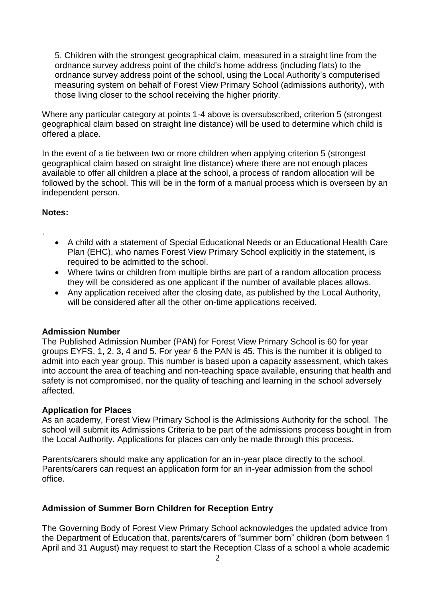5. Children with the strongest geographical claim, measured in a straight line from the ordnance survey address point of the child's home address (including flats) to the ordnance survey address point of the school, using the Local Authority's computerised measuring system on behalf of Forest View Primary School (admissions authority), with those living closer to the school receiving the higher priority.

Where any particular category at points 1-4 above is oversubscribed, criterion 5 (strongest geographical claim based on straight line distance) will be used to determine which child is offered a place.

In the event of a tie between two or more children when applying criterion 5 (strongest geographical claim based on straight line distance) where there are not enough places available to offer all children a place at the school, a process of random allocation will be followed by the school. This will be in the form of a manual process which is overseen by an independent person.

### **Notes:**

.

- A child with a statement of Special Educational Needs or an Educational Health Care Plan (EHC), who names Forest View Primary School explicitly in the statement, is required to be admitted to the school.
- Where twins or children from multiple births are part of a random allocation process they will be considered as one applicant if the number of available places allows.
- Any application received after the closing date, as published by the Local Authority, will be considered after all the other on-time applications received.

# **Admission Number**

The Published Admission Number (PAN) for Forest View Primary School is 60 for year groups EYFS, 1, 2, 3, 4 and 5. For year 6 the PAN is 45. This is the number it is obliged to admit into each year group. This number is based upon a capacity assessment, which takes into account the area of teaching and non-teaching space available, ensuring that health and safety is not compromised, nor the quality of teaching and learning in the school adversely affected.

### **Application for Places**

As an academy, Forest View Primary School is the Admissions Authority for the school. The school will submit its Admissions Criteria to be part of the admissions process bought in from the Local Authority. Applications for places can only be made through this process.

Parents/carers should make any application for an in-year place directly to the school. Parents/carers can request an application form for an in-year admission from the school office.

# **Admission of Summer Born Children for Reception Entry**

The Governing Body of Forest View Primary School acknowledges the updated advice from the Department of Education that, parents/carers of "summer born" children (born between 1 April and 31 August) may request to start the Reception Class of a school a whole academic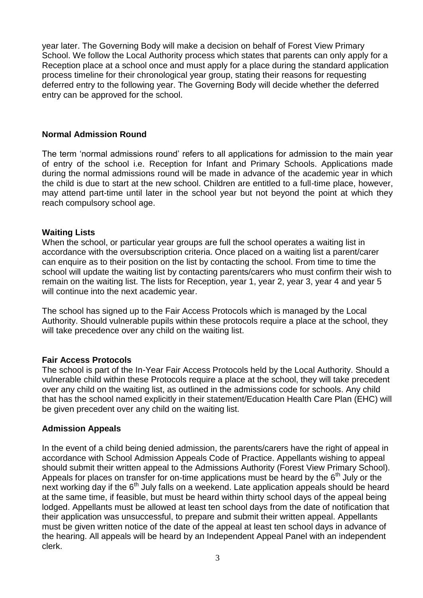year later. The Governing Body will make a decision on behalf of Forest View Primary School. We follow the Local Authority process which states that parents can only apply for a Reception place at a school once and must apply for a place during the standard application process timeline for their chronological year group, stating their reasons for requesting deferred entry to the following year. The Governing Body will decide whether the deferred entry can be approved for the school.

## **Normal Admission Round**

The term 'normal admissions round' refers to all applications for admission to the main year of entry of the school i.e. Reception for Infant and Primary Schools. Applications made during the normal admissions round will be made in advance of the academic year in which the child is due to start at the new school. Children are entitled to a full-time place, however, may attend part-time until later in the school year but not beyond the point at which they reach compulsory school age.

## **Waiting Lists**

When the school, or particular year groups are full the school operates a waiting list in accordance with the oversubscription criteria. Once placed on a waiting list a parent/carer can enquire as to their position on the list by contacting the school. From time to time the school will update the waiting list by contacting parents/carers who must confirm their wish to remain on the waiting list. The lists for Reception, year 1, year 2, year 3, year 4 and year 5 will continue into the next academic year.

The school has signed up to the Fair Access Protocols which is managed by the Local Authority. Should vulnerable pupils within these protocols require a place at the school, they will take precedence over any child on the waiting list.

# **Fair Access Protocols**

The school is part of the In-Year Fair Access Protocols held by the Local Authority. Should a vulnerable child within these Protocols require a place at the school, they will take precedent over any child on the waiting list, as outlined in the admissions code for schools. Any child that has the school named explicitly in their statement/Education Health Care Plan (EHC) will be given precedent over any child on the waiting list.

### **Admission Appeals**

In the event of a child being denied admission, the parents/carers have the right of appeal in accordance with School Admission Appeals Code of Practice. Appellants wishing to appeal should submit their written appeal to the Admissions Authority (Forest View Primary School). Appeals for places on transfer for on-time applications must be heard by the  $6<sup>th</sup>$  July or the next working day if the 6<sup>th</sup> July falls on a weekend. Late application appeals should be heard at the same time, if feasible, but must be heard within thirty school days of the appeal being lodged. Appellants must be allowed at least ten school days from the date of notification that their application was unsuccessful, to prepare and submit their written appeal. Appellants must be given written notice of the date of the appeal at least ten school days in advance of the hearing. All appeals will be heard by an Independent Appeal Panel with an independent clerk.